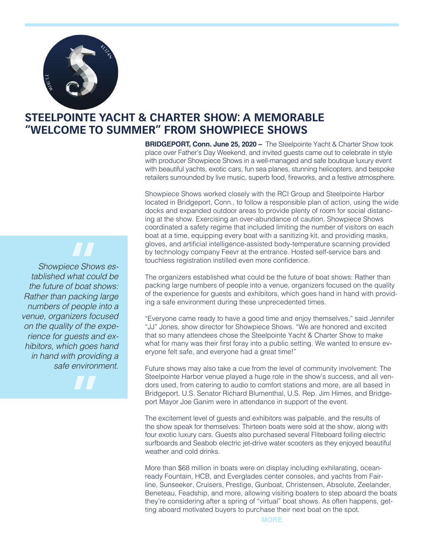

## **STEELPOINTE YACHT & CHARTER SHOW: A MEMORABLE "WELCOME TO SUMMER" FROM SHOWPIECE SHOWS**

**BRIDGEPORT, Conn. June 25, 2020 –** The Steelpointe Yacht & Charter Show took place over Father's Day Weekend, and invited guests came out to celebrate in style with producer Showpiece Shows in a well-managed and safe boutique luxury event with beautiful yachts, exotic cars, fun sea planes, stunning helicopters, and bespoke retailers surrounded by live music, superb food, fireworks, and a festive atmosphere.

Showpiece Shows worked closely with the RCI Group and Steelpointe Harbor located in Bridgeport, Conn., to follow a responsible plan of action, using the wide docks and expanded outdoor areas to provide plenty of room for social distancing at the show. Exercising an over-abundance of caution, Showpiece Shows coordinated a safety regime that included limiting the number of visitors on each boat at a time, equipping every boat with a sanitizing kit, and providing masks, gloves, and artificial intelligence-assisted body-temperature scanning provided by technology company Feevr at the entrance. Hosted self-service bars and touchless registration instilled even more confidence.

The organizers established what could be the future of boat shows: Rather than packing large numbers of people into a venue, organizers focused on the quality of the experience for guests and exhibitors, which goes hand in hand with providing a safe environment during these unprecedented times.

"Everyone came ready to have a good time and enjoy themselves," said Jennifer "JJ" Jones, show director for Showpiece Shows. "We are honored and excited that so many attendees chose the Steelpointe Yacht & Charter Show to make what for many was their first foray into a public setting. We wanted to ensure everyone felt safe, and everyone had a great time!"

Future shows may also take a cue from the level of community involvement: The Steelpointe Harbor venue played a huge role in the show's success, and all vendors used, from catering to audio to comfort stations and more, are all based in Bridgeport. U.S. Senator Richard Blumenthal, U.S. Rep. Jim Himes, and Bridgeport Mayor Joe Ganim were in attendance in support of the event.

The excitement level of guests and exhibitors was palpable, and the results of the show speak for themselves: Thirteen boats were sold at the show, along with four exotic luxury cars. Guests also purchased several Fliteboard foiling electric surfboards and Seabob electric jet-drive water scooters as they enjoyed beautiful weather and cold drinks.

More than \$68 million in boats were on display including exhilarating, oceanready Fountain, HCB, and Everglades center consoles, and yachts from Fairline, Sunseeker, Cruisers, Prestige, Gunboat, Christensen, Absolute, Zeelander, Beneteau, Feadship, and more, allowing visiting boaters to step aboard the boats they're considering after a spring of "virtual" boat shows. As often happens, getting aboard motivated buyers to purchase their next boat on the spot.

*Showpiece Shows established what could be the future of boat shows: Rather than packing large numbers of people into a venue, organizers focused on the quality of the experience for guests and exhibitors, which goes hand in hand with providing a safe environment.* **"**<br>ce Sho<br>what co<br>of boat s

**"**